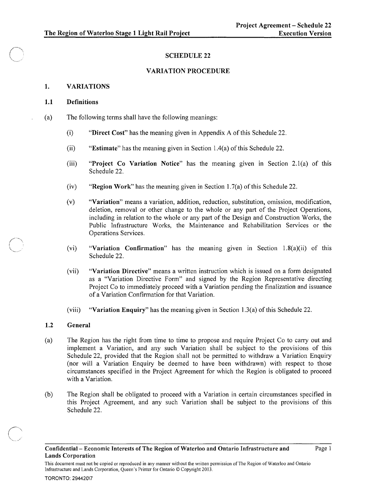# SCHEDULE 22

## VARIATION PROCEDURE

### 1. VARIATIONS

#### 1.1 Definitions

- (a) The following terms shall have the following meanings:
	- (i) "Direct Cost" has the meaning given in Appendix A of this Schedule 22.
	- (ii) "Estimate" has the meaning given in Section 1.4(a) of this Schedule 22.
	- (iii) "Project Co Variation Notice" has the meaning given in Section 2.l(a) of this Schedule 22.
	- (iv) "Region Work" has the meaning given in Section 1.7(a) of this Schedule 22.
	- (v) "Variation" means a variation, addition, reduction, substitution, omission, modification, deletion, removal or other change to the whole or any part of the Project Operations, including in relation to the whole or any part of the Design and Construction Works, the Public Infrastructure Works, the Maintenance and Rehabilitation Services or the Operations Services.
	- (vi) "Variation Confirmation" has the meaning given in Section 1.8(a)(ii) of this Schedule 22.
	- (vii) "Variation Directive" means a written instruction which is issued on a form designated as a "Variation Directive Form" and signed by the Region Representative directing Project Co to immediately proceed with a Variation pending the finalization and issuance of a Variation Confirmation for that Variation.
	- (viii) "Variation Enquiry" has the meaning given in Section 1.3(a) of this Schedule 22.

# 1.2 General

 $\sqrt{2}$ '''''''''--'

- (a) The Region has the right from time to time to propose and require Project Co to carry out and implement a Variation, and any such Variation shall be subject to the provisions of this Schedule 22, provided that the Region shall not be permitted to withdraw a Variation Enquiry (nor will a Variation Enquiry be deemed to have been withdrawn) with respect to those circumstances specified in the Project Agreement for which the Region is obligated to proceed with a Variation.
- (b) The Region shall be obligated to proceed with a Variation in certain circumstances specified in this Project Agreement, and any such Variation shall be subject to the provisions of this Schedule 22.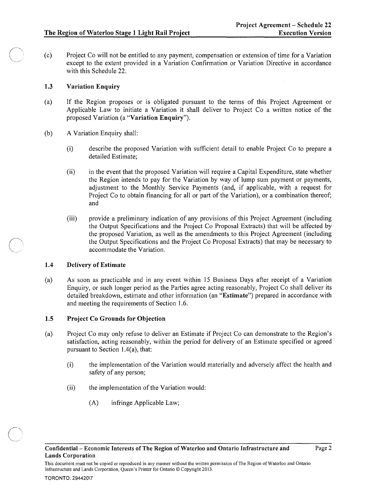(c) Project Co will not be entitled to any payment, compensation or extension of time for a Variation except to the extent provided in a Variation Confirmation or Variation Directive in accordance with this Schedule 22.

# 1.3 Variation Enquiry

- (a) If the Region proposes or is obligated pursuant to the terms of this Project Agreement or Applicable Law to initiate a Variation it shall deliver to Project Co a written notice of the proposed Variation (a "Variation Enquiry").
- (b) A Variation Enquiry shall:
	- (i) describe the proposed Variation with sufficient detail to enable Project Co to prepare a detailed Estimate;
	- (ii) in the event that the proposed Variation will require a Capital Expenditure, state whether the Region intends to pay for the Variation by way of lump sum payment or payments, adjustment to the Monthly Service Payments (and, if applicable, with a request for Project Co to obtain financing for all or part of the Variation), or a combination thereof; and
	- (iii) provide a preliminary indication of any provisions of this Project Agreement (including the Output Specifications and the Project Co Proposal Extracts) that will be affected by the proposed Variation, as well as the amendments to this Project Agreement (including the Output Specifications and the Project Co Proposal Extracts) that may be necessary to accommodate the Variation.

# 1.4 Delivery of Estimate

(a) As soon as practicable and in any event within 15 Business Days after receipt of a Variation Enquiry, or such longer period as the Parties agree acting reasonably, Project Co shall deliver its detailed breakdown, estimate and other information (an "Estimate") prepared in accordance with and meeting the requirements of Section 1.6.

# 1.5 Project Co Grounds for Objection

- (a) Project Co may only refuse to deliver an Estimate if Project Co can demonstrate to the Region's satisfaction, acting reasonably, within the period for delivery of an Estimate specified or agreed pursuant to Section 1.4(a), that:
	- (i) the implementation of the Variation would materially and adversely affect the health and safety of any person;
	- (ii) the implementation of the Variation would:
		- (A) infringe Applicable Law;

This document must not be copied or reproduced in any manner without the written permission of The Region of Waterloo and Ontario Infrastructure and Lands Corporation, Queen's Printer for Ontario © Copyright 2013.

 $\left\langle \begin{array}{c} \end{array} \right\rangle$ *\ .... , .... \_\_\_ J*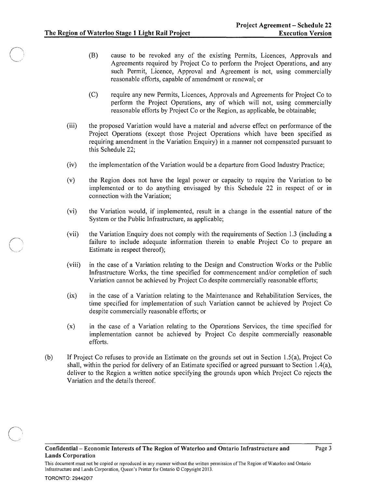- (B) cause to be revoked any of the existing Permits, Licences, Approvals and Agreements required by Project Co to perform the Project Operations, and any such Permit, Licence, Approval and Agreement is not, using commercially reasonable efforts, capable of amendment or renewal; or
- (C) require any new Permits, Licences, Approvals and Agreements for Project Co to perform the Project Operations, any of which will not, using commercially reasonable efforts by Project Co or the Region, as applicable, be obtainable;
- (iii) the proposed Variation would have a material and adverse effect on performance of the Project Operations (except those Project Operations which have been specified as requiring amendment in the Variation Enquiry) in a manner not compensated pursuant to this Schedule 22;
- (iv) the implementation of the Variation would be a departure from Good Industry Practice;
- (v) the Region does not have the legal power or capacity to require the Variation to be implemented or to do anything envisaged by this Schedule 22 in respect of or in connection with the Variation;
- (vi) the Variation would, if implemented, result in a change in the essential nature of the System or the Public Infrastructure, as applicable;
- (vii) the Variation Enquiry does not comply with the requirements of Section 1.3 (including a failure to include adequate information therein to enable Project Co to prepare an Estimate in respect thereof);
- (viii) in the case of a Variation relating to the Design and Construction Works or the Public Infrastructure Works, the time specified for commencement and/or completion of such Variation cannot be achieved by Project Co despite commercially reasonable efforts;
- (ix) in the case of a Variation relating to the Maintenance and Rehabilitation Services, the time specified for implementation of such Variation cannot be achieved by Project Co despite commercially reasonable efforts; or
- (x) in the case of a Variation relating to the Operations Services, the time specified for implementation cannot be achieved by Project Co despite commercially reasonable efforts.
- (b) If Project Co refuses to provide an Estimate on the grounds set out in Section l.S(a), Project Co shall, within the period for delivery of an Estimate specified or agreed pursuant to Section l.4(a), deliver to the Region a written notice specifying the grounds upon which Project Co rejects the Variation and the details thereof.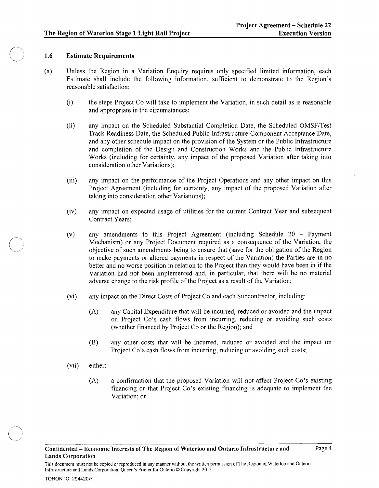# 1.6 Estimate Requirements

- (a) Unless the Region in a Variation Enquiry requires only specified limited information, each Estimate shall include the following information, sufficient to demonstrate to the Region's reasonable satisfaction:
	- (i) the steps Project Co will take to implement the Variation, in such detail as is reasonable and appropriate in the circumstances;
	- (ii) any impact on the Scheduled Substantial Completion Date, the Scheduled *OMSF/Test*  Track Readiness Date, the Scheduled Public Infrastructure Component Acceptance Date, and any other schedule impact on the provision of the System or the Public Infrastructure and completion of the Design and Construction Works and the Public Infrastructure Works (including for certainty, any impact of the proposed Variation after taking into consideration other Variations);
	- (iii) any impact on the performance of the Project Operations and any other impact on this Project Agreement (including for certainty, any impact of the proposed Variation after taking into consideration other Variations);
	- (iv) any impact on expected usage of utilities for the current Contract Year and subsequent Contract Years;
	- (v) any amendments to this Project Agreement (including Schedule 20 Payment Mechanism) or any Project Document required as a consequence of the Variation, the objective of such amendments being to ensure that (save for the obligation of the Region to make payments or altered payments in respect of the Variation) the Parties are in no better and no worse position in relation to the Project than they would have been in if the Variation had not been implemented and, in particular, that there will be no material adverse change to the risk profile of the Project as a result of the Variation;
	- (vi) any impact on the Direct Costs of Project Co and each Subcontractor, including:
		- (A) any Capital Expenditure that will be incurred, reduced or avoided and the impact on Project Co's cash flows from incurring, reducing or avoiding such costs (whether financed by Project Co or the Region); and
		- (B) any other costs that will be incurred, reduced or avoided and the impact on Project Co's cash flows from incurring, reducing or avoiding such costs;
	- (vii) either:
		- (A) a confirmation that the proposed Variation will not affect Project Co's existing financing or that Project Co's existing financing is adequate to implement the Variation; or

This document must not be copied or reproduced in any manner without the written permission of The Region of Waterloo and Ontario Infrastructure and Lands Corporation, Queen's Printer for Ontario © Copyright 20\3.

#### TORONTO: 294420\7

 $\angle$   $\sim$ .<br>م.<br>... ... .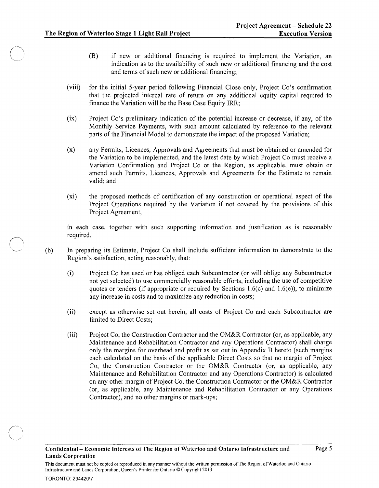- (B) if new or additional financing is required to implement the Variation, an indication as to the availability of such new or additional financing and the cost and terms of such new or additional financing;
- (viii) for the initial 5-year period following Financial Close only, Project Co's confirmation that the projected internal rate of return on any additional equity capital required to finance the Variation will be the Base Case Equity IRR;
- (ix) Project Co's preliminary indication of the potential increase or decrease, if any, of the Monthly Service Payments, with such amount calculated by reference to the relevant parts of the Financial Model to demonstrate the impact of the proposed Variation;
- (x) any Permits, Licences, Approvals and Agreements that must be obtained or amended for the Variation to be implemented, and the latest date by which Project Co must receive a Variation Confirmation and Project Co or the Region, as applicable, must obtain or amend such Permits, Licences, Approvals and Agreements for the Estimate to remain valid; and
- (xi) the proposed methods of certification of any construction or operational aspect of the Project Operations required by the Variation if not covered by the provisions of this Project Agreement,

in each case, together with such supporting information and justification as is reasonably required.

- (b) In preparing its Estimate, Project Co shall include sufficient information to demonstrate to the Region's satisfaction, acting reasonably, that:
	- (i) Project Co has used or has obliged each Subcontractor (or will oblige any Subcontractor not yet selected) to use commercially reasonable efforts, including the use of competitive quotes or tenders (if appropriate or required by Sections 1.6(c) and 1.6(e)), to minimize any increase in costs and to maximize any reduction in costs;
	- (ii) except as otherwise set out herein, all costs of Project Co and each Subcontractor are limited to Direct Costs;
	- (iii) Project Co, the Construction Contractor and the OM&R Contractor (or, as applicable, any Maintenance and Rehabilitation Contractor and any Operations Contractor) shall charge only the margins for overhead and profit as set out in Appendix B hereto (such margins each calculated on the basis of the applicable Direct Costs so that no margin of Project Co, the Construction Contractor or the OM&R Contractor (or, as applicable, any Maintenance and Rehabilitation Contractor and any Operations Contractor) is calculated on any other margin of Project Co, the Construction Contractor or the OM&R Contractor (or, as applicable, any Maintenance and Rehabilitation Contractor or any Operations Contractor), and no other margins or mark-ups;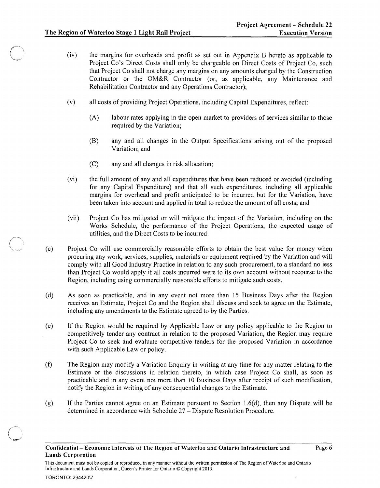- (iv) the margins for overheads and profit as set out in Appendix B hereto as applicable to Project Co's Direct Costs shall only be chargeable on Direct Costs of Project Co, such that Project Co shall not charge any margins on any amounts charged by the Construction Contractor or the OM&R Contractor (or, as applicable, any Maintenance and Rehabilitation Contractor and any Operations Contractor);
- (v) all costs of providing Project Operations, including Capital Expenditures, reflect:
	- (A) labour rates applying in the open market to providers of services similar to those required by the Variation;
	- (B) any and all changes in the Output Specifications arising out of the proposed Variation; and
	- (C) any and all changes in risk allocation;
- (vi) the full amount of any and all expenditures that have been reduced or avoided (including for any Capital Expenditure) and that all such expenditures, including all applicable margins for overhead and profit anticipated to be incurred but for the Variation, have been taken into account and applied in total to reduce the amount of all costs; and
- (vii) Project Co has mitigated or will mitigate the impact of the Variation, including on the Works Schedule, the performance of the Project Operations, the expected usage of utilities, and the Direct Costs to be incurred.
- (c) Project Co will use commercially reasonable efforts to obtain the best value for money when procuring any work, services, supplies, materials or equipment required by the Variation and will comply with all Good Industry Practice in relation to any such procurement, to a standard no less than Project Co would apply if all costs incurred were to its own account without recourse to the Region, including using commercially reasonable efforts to mitigate such costs.
- (d) As soon as practicable, and in any event not more than 15 Business Days after the Region receives an Estimate, Project Co and the Region shall discuss and seek to agree on the Estimate, including any amendments to the Estimate agreed to by the Parties.
- (e) If the Region would be required by Applicable Law or any policy applicable to the Region to competitively tender any contract in relation to the proposed Variation, the Region may require Project Co to seek and evaluate competitive tenders for the proposed Variation in accordance with such Applicable Law or policy.
- (f) The Region may modify a Variation Enquiry in writing at any time for any matter relating to the Estimate or the discussions in relation thereto, in which case Project Co shall, as soon as practicable and in any event not more than 10 Business Days after receipt of such modification, notify the Region in writing of any consequential changes to the Estimate.
- (g) If the Parties cannot agree on an Estimate pursuant to Section 1.6(d), then any Dispute will be determined in accordance with Schedule 27 - Dispute Resolution Procedure.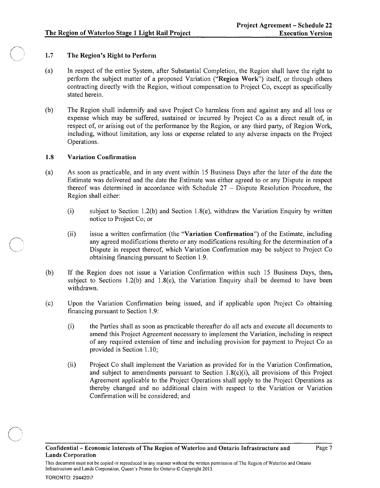# 1.7 The Region's Right to Perform

- (a) In respect of the entire System, after Substantial Completion, the Region shall have the right to perform the subject matter of a proposed Variation ("Region Work") itself, or through others contracting directly with the Region, without compensation to Project Co, except as specifically stated herein.
- (b) The Region shall indemnify and save Project Co harmless from and against any and all loss or expense which may be suffered, sustained or incurred by Project Co as a direct result of, in respect of, or arising out of the performance by the Region, or any third party, of Region Work, including, without limitation, any loss or expense related to any adverse impacts on the Project Operations.

# 1.8 Variation Confirmation

- (a) As soon as practicable, and in any event within 15 Business Days after the later of the date the Estimate was delivered and the date the Estimate was either agreed to or any Dispute in respect thereof was determined in accordance with Schedule 27 - Dispute Resolution Procedure, the Region shall either:
	- (i) subject to Section 1.2(b) and Section 1.8(e), withdraw the Variation Enquiry by written notice to Project Co; or
	- (ii) issue a written confirmation (the "Variation Confirmation") of the Estimate, including any agreed modifications thereto or any modifications resulting for the determination of a Dispute in respect thereof, which Variation Confirmation may be subject to Project Co obtaining financing pursuant to Section 1.9.
- (b) If the Region does not issue a Variation Confirmation within such 15 Business Days, then, subject to Sections 1.2(b) and 1.8(e), the Variation Enquiry shall be deemed to have been withdrawn.
- (c) Upon the Variation Confirmation being issued, and if applicable upon Project Co obtaining financing pursuant to Section 1.9:
	- (i) the Parties shall as soon as practicable thereafter do all acts and execute all documents to amend this Project Agreement necessary to implement the Variation, including in respect of any required extension of time and including provision for payment to Project Co as provided in Section 1.10;
	- (ii) Project Co shall implement the Variation as provided for in the Variation Confirmation, and subject to amendments pursuant to Section 1.8(c)(i), all provisions of this Project Agreement applicable to the Project Operations shall apply to the Project Operations as thereby changed and no additional claim with respect to the Variation or Variation Confirmation will be considered; and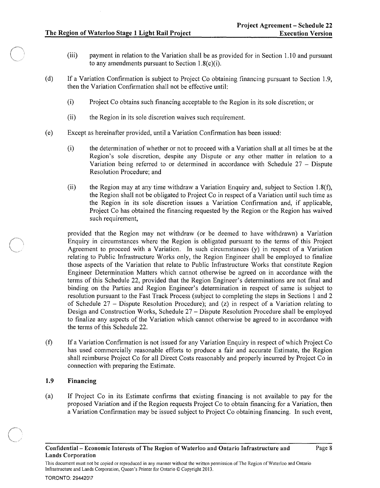- (iii) payment in relation to the Variation shall be as provided for in Section 1.10 and pursuant to any amendments pursuant to Section  $1.8(c)(i)$ .
- (d) If a Variation Confirmation is subject to Project Co obtaining financing pursuant to Section 1.9, then the Variation Confirmation shall not be effective until:
	- (i) Project Co obtains such financing acceptable to the Region in its sole discretion; or
	- (ii) the Region in its sole discretion waives such requirement.
- ( e) Except as hereinafter provided, until a Variation Confirmation has been issued:
	- (i) the determination of whether or not to proceed with a Variation shall at all times be at the Region's sole discretion, despite any Dispute or any other matter in relation to a Variation being referred to or determined in accordance with Schedule  $27 -$ Dispute Resolution Procedure; and
	- (ii) the Region may at any time withdraw a Variation Enquiry and, subject to Section 1.8(f), the Region shall not be obligated to Project Co in respect of a Variation until such time as the Region in its sole discretion issues a Variation Confirmation and, if applicable, Project Co has obtained the financing requested by the Region or the Region has waived such requirement,

provided that the Region may not withdraw (or be deemed to have withdrawn) a Variation Enquiry in circumstances where the Region is obligated pursuant to the terms of this Project Agreement to proceed with a Variation. In such circumstances (y) in respect of a Variation relating to Public Infrastructure Works only, the Region Engineer shall be employed to finalize those aspects of the Variation that relate to Public Infrastructure Works that constitute Region Engineer Determination Matters which cannot otherwise be agreed on in accordance with the terms of this Schedule 22, provided that the Region Engineer's determinations are not final and binding on the Parties and Region Engineer's determination in respect of same is subject to resolution pursuant to the Fast Track Process (subject to completing the steps in Sections 1 and 2 of Schedule 27 - Dispute Resolution Procedure); and (z) in respect of a Variation relating to Design and Construction Works, Schedule 27 - Dispute Resolution Procedure shall be employed to finalize any aspects of the Variation which cannot otherwise be agreed to in accordance with the terms of this Schedule 22.

(f) If a Variation Confirmation is not issued for any Variation Enquiry in respect of which Project Co has used commercially reasonable efforts to produce a fair and accurate Estimate, the Region shall reimburse Project Co for all Direct Costs reasonably and properly incurred by Project Co in connection with preparing the Estimate.

#### 1.9 Financing

(a) If Project Co in its Estimate confirms that existing financing is not available to pay for the proposed Variation and if the Region requests Project Co to obtain financing for a Variation, then a Variation Confirmation may be issued subject to Project Co obtaining financing. In such event,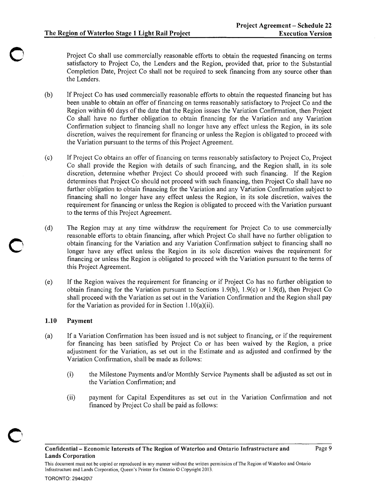Project Co shall use commercially reasonable efforts to obtain the requested financing on terms satisfactory to Project Co, the Lenders and the Region, provided that, prior to the Substantial Completion Date, Project Co shall not be required to seek financing from any source other than the Lenders.

- (b) If Project Co has used commercially reasonable efforts to obtain the requested financing but has been unable to obtain an offer of financing on terms reasonably satisfactory to Project Co and the Region within 60 days of the date that the Region issues the Variation Confirmation, then Project Co shall have no further obligation to obtain financing for the Variation and any Variation Confirmation subject to financing shall no longer have any effect unless the Region, in its sole discretion, waives the requirement for financing or unless the Region is obligated to proceed with the Variation pursuant to the terms of this Project Agreement.
- (c) If Project Co obtains an offer of financing on terms reasonably satisfactory to Project Co, Project Co shall provide the Region with details of such financing, and the Region shall, in its sole discretion, determine whether Project Co should proceed with such financing. If the Region determines that Project Co should not proceed with such financing, then Project Co shall have no further obligation to obtain financing for the Variation and any Variation Confirmation subject to financing shall no longer have any effect unless the Region, in its sole discretion, waives the requirement for financing or unless the Region is obligated to proceed with the Variation pursuant to the terms of this Project Agreement.
- (d) The Region may at any time withdraw the requirement for Project Co to use commercially reasonable efforts to obtain financing, after which Project Co shall have no further obligation to obtain financing for the Variation and any Variation Confirmation subject to financing shall no longer have any effect unless the Region in its sole discretion waives the requirement for financing or unless the Region is obligated to proceed with the Variation pursuant to the terms of this Project Agreement.
- (e) If the Region waives the requirement for financing or if Project Co has no further obligation to obtain financing for the Variation pursuant to Sections 1.9(b), 1.9(c) or 1.9(d), then Project Co shall proceed with the Variation as set out in the Variation Confirmation and the Region shall pay for the Variation as provided for in Section 1.10(a)(ii).

# 1.10 Payment

- (a) If a Variation Confirmation has been issued and is not subject to financing, or if the requirement for financing has been satisfied by Project Co or has been waived by the Region, a price adjustment for the Variation, as set out in the Estimate and as adjusted and confirmed by the Variation Confirmation, shall be made as follows:
	- (i) the Milestone Payments and/or Monthly Service Payments shall be adjusted as set out in the Variation Confirmation; and
	- (ii) payment for Capital Expenditures as set out in the Variation Confirmation and not financed by Project Co shall be paid as follows: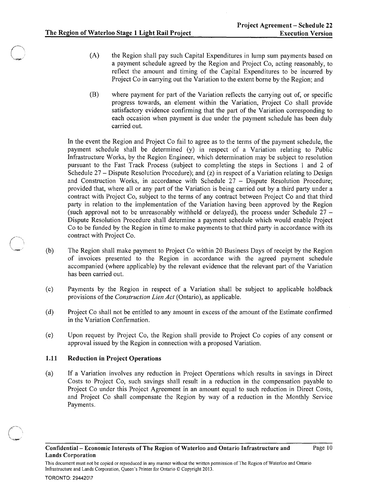- (A) the Region shall pay such Capital Expenditures in lump sum payments based on a payment schedule agreed by the Region and Project Co, acting reasonably, to reflect the amount and timing of the Capital Expenditures to be incurred by Project Co in carrying out the Variation to the extent borne by the Region; and
- (B) where payment for part of the Variation reflects the carrying out of, or specific progress towards, an element within the Variation, Project Co shall provide satisfactory evidence confirming that the part of the Variation corresponding to each occasion when payment is due under the payment schedule has been duly carried out.

In the event the Region and Project Co fail to agree as to the terms of the payment schedule, the payment schedule shall be determined (y) in respect of a Variation relating to Public Infrastructure Works, by the Region Engineer, which determination may be subject to resolution pursuant to the Fast Track Process (subject to completing the steps in Sections 1 and 2 of Schedule 27 – Dispute Resolution Procedure); and (z) in respect of a Variation relating to Design and Construction Works, in accordance with Schedule 27 - Dispute Resolution Procedure; provided that, where all or any part of the Variation is being carried out by a third party under a contract with Project Co, subject to the terms of any contract between Project Co and that third party in relation to the implementation of the Variation having been approved by the Region (such approval not to be unreasonably withheld or delayed), the process under Schedule  $27 -$ Dispute Resolution Procedure shall determine a payment schedule which would enable Project Co to be funded by the Region in time to make payments to that third party in accordance with its contract with Project Co.

- (b) The Region shall make payment to Project Co within 20 Business Days of receipt by the Region of invoices presented to the Region in accordance with the agreed payment schedule accompanied (where applicable) by the relevant evidence that the relevant part of the Variation has been carried out.
- (c) Payments by the Region in respect of a Variation shall be subject to applicable holdback provisions of the *Construction Lien Act* (Ontario), as applicable.
- (d) Project Co shall not be entitled to any amount in excess of the amount of the Estimate confirmed in the Variation Confirmation.
- (e) Upon request by Project Co, the Region shall provide to Project Co copies of any consent or approval issued by the Region in connection with a proposed Variation.

# 1.11 Reduction in Project Operations

(a) If a Variation involves any reduction in Project Operations which results in savings in Direct Costs to Project Co, such savings shall result in a reduction in the compensation payable to Project Co under this Project Agreement in an amount equal to such reduction in Direct Costs, and Project Co shall compensate the Region by way of a reduction in the Monthly Service Payments.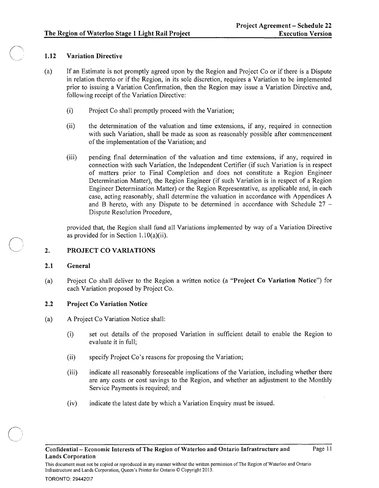# 1.12 Variation Directive

- (a) If an Estimate is not promptly agreed upon by the Region and Project Co or if there is a Dispute in relation thereto or if the Region, in its sole discretion, requires a Variation to be implemented prior to issuing a Variation Confirmation, then the Region may issue a Variation Directive and, following receipt of the Variation Directive:
	- (i) Project Co shall promptly proceed with the Variation;
	- (ii) the determination of the valuation and time extensions, if any, required in connection with such Variation, shall be made as soon as reasonably possible after commencement of the implementation of the Variation; and
	- (iii) pending final determination of the valuation and time extensions, if any, required in connection with such Variation, the Independent Certifier (if such Variation is in respect of matters prior to Final Completion and does not constitute a Region Engineer Determination Matter), the Region Engineer (if such Variation is in respect of a Region Engineer Determination Matter) or the Region Representative, as applicable and, in each case, acting reasonably, shall determine the valuation in accordance with Appendices A and B hereto, with any Dispute to be determined in accordance with Schedule  $27 -$ Dispute Resolution Procedure,

provided that, the Region shall fund all Variations implemented by way of a Variation Directive as provided for in Section  $1.10(a)(ii)$ .

#### 2. PROJECT CO VARIATIONS

# 2.1 General

(a) Project Co shall deliver to the Region a written notice (a "Project Co Variation Notice") for each Variation proposed by Project Co.

# 2.2 Project Co Variation Notice

- (a) A Project Co Variation Notice shall:
	- (i) set out details of the proposed Variation In sufficient detail to enable the Region to evaluate it in full;
	- (ii) specify Project Co's reasons for proposing the Variation;
	- (iii) indicate all reasonably foreseeable implications of the Variation, including whether there are any costs or cost savings to the Region, and whether an adjustment to the Monthly Service Payments is required; and
	- (iv) indicate the latest date by which a Variation Enquiry must be issued.

This document must not be copied or reproduced in any manner without the written permission of The Region of Waterloo and Ontario Infrastructure and Lands Corporation, Queen's Printer for Ontario © Copyright 2013.

#### TORONTO: 294420\7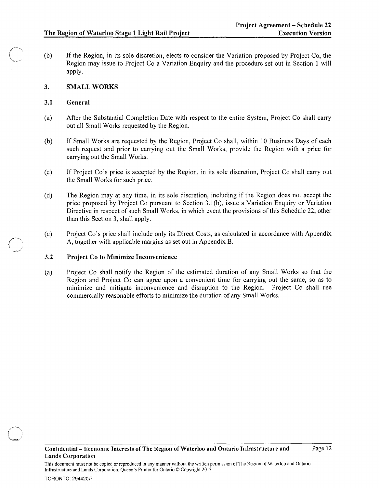(b) If the Region, in its sole discretion, elects to consider the Variation proposed by Project Co, the Region may issue to Project Co a Variation Enquiry and the procedure set out in Section 1 will apply.

# 3. SMALL WORKS

# 3.1 General

- (a) After the Substantial Completion Date with respect to the entire System, Project Co shall carry out all Small Works requested by the Region.
- (b) If Small Works are requested by the Region, Project Co shall, within 10 Business Days of each such request and prior to carrying out the Small Works, provide the Region with a price for carrying out the Small Works.
- (c) If Project Co's price is accepted by the Region, in its sole discretion, Project Co shall carry out the Small Works for such price.
- (d) The Region may at any time, in its sole discretion, including if the Region does not accept the price proposed by Project Co pursuant to Section 3.1 (b), issue a Variation Enquiry or Variation Directive in respect of such Small Works, in which event the provisions of this Schedule 22, other than this Section 3, shall apply.
- (e) Project Co's price shall include only its Direct Costs, as calculated in accordance with Appendix A, together with applicable margins as set out in Appendix B.

# 3.2 Project Co to Minimize Inconvenience

(a) Project Co shall notify the Region of the estimated duration of any Small Works so that the Region and Project Co can agree upon a convenient time for carrying out the same, so as to minimize and mitigate inconvenience and disruption to the Region. Project Co shall use commercially reasonable efforts to minimize the duration of any Small Works.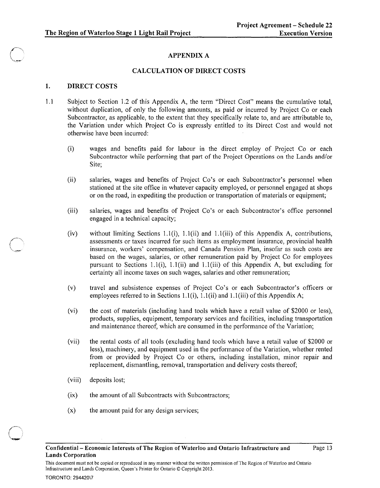# APPENDIX A

# CALCULATION OF DIRECT COSTS

### 1. DIRECT COSTS

- 1.1 Subject to Section 1.2 of this Appendix A, the term "Direct Cost" means the cumulative total, without duplication, of only the following amounts, as paid or incurred by Project Co or each Subcontractor, as applicable, to the extent that they specifically relate to, and are attributable to, the Variation under which Project Co is expressly entitled to its Direct Cost and would not otherwise have been incurred:
	- (i) wages and benefits paid for labour in the direct employ of Project Co or each Subcontractor while perfonning that part of the Project Operations on the Lands and/or Site;
	- (ii) salaries, wages and benefits of Project Co's or each Subcontractor's personnel when stationed at the site office in whatever capacity employed, or personnel engaged at shops or on the road, in expediting the production or transportation of materials or equipment;
	- (iii) salaries, wages and benefits of Project Co's or each Subcontractor's office personnel engaged in a technical capacity;
	- (iv) without limiting Sections 1.1(i), 1.1(ii) and 1.1(iii) of this Appendix A, contributions, assessments or taxes incurred for such items as employment insurance, provincial health insurance, workers' compensation, and Canada Pension Plan, insofar as such costs are based on the wages, salaries, or other remuneration paid by Project Co for employees pursuant to Sections 1.1(i), 1.1(ii) and 1.1(iii) of this Appendix A, but excluding for certainty all income taxes on such wages, salaries and other remuneration;
	- (v) travel and subsistence expenses of Project Co's or each Subcontractor's officers or employees referred to in Sections 1.1(i), 1.1(ii) and 1.1(iii) of this Appendix A;
	- (vi) the cost of materials (including hand tools which have a retail value of \$2000 or less), products, supplies, equipment, temporary services and facilities, including transportation and maintenance thereof, which are consumed in the performance of the Variation;
	- (vii) the rental costs of all tools (excluding hand tools which have a retail value of \$2000 or less), machinery, and equipment used in the performance of the Variation, whether rented from or provided by Project Co or others, including installation, minor repair and replacement, dismantling, removal, transportation and delivery costs thereof;
	- (viii) deposits lost;
	- (ix) the amount of all Subcontracts with Subcontractors;
	- $(x)$  the amount paid for any design services;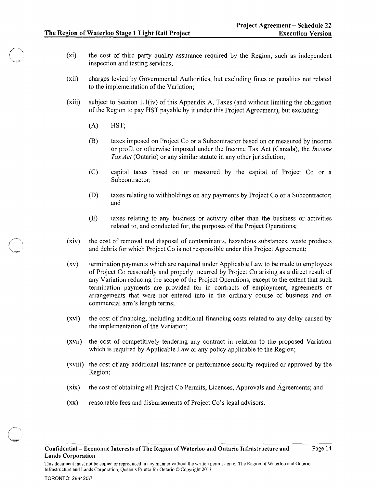- (xi) the cost of third party quality assurance required by the Region, such as independent inspection and testing services;
- (xii) charges levied by Governmental Authorities, but excluding fines or penalties not related to the implementation of the Variation;
- (xiii) subject to Section 1.1(iv) of this Appendix A, Taxes (and without limiting the obligation of the Region to pay HST payable by it under this Project Agreement), but excluding:
	- (A) HST;
	- (B) taxes imposed on Project Co or a Subcontractor based on or measured by income or profit or otherwise imposed under the Income Tax Act (Canada), the *Income Tax Act* (Ontario) or any similar statute in any other jurisdiction;
	- (C) capital taxes based on or measured by the capital of Project Co or a Subcontractor;
	- (D) taxes relating to withholdings on any payments by Project Co or a Subcontractor; and
	- (E) taxes relating to any business or activity other than the business or activities related to, and conducted for, the purposes of the Project Operations;
- (xiv) the cost of removal and disposal of contaminants, hazardous substances, waste products and debris for which Project Co is not responsible under this Project Agreement;
- (xv) termination payments which are required under Applicable Law to be made to employees of Project Co reasonably and properly incurred by Project Co arising as a direct result of any Variation reducing the scope of the Project Operations, except to the extent that such termination payments are provided for in contracts of employment, agreements or arrangements that were not entered into in the ordinary course of business and on commercial arm's length terms;
- (xvi) the cost of financing, including additional financing costs related to any delay caused by the implementation of the Variation;
- (xvii) the cost of competitively tendering any contract in relation to the proposed Variation which is required by Applicable Law or any policy applicable to the Region;
- (xviii) the cost of any additional insurance or performance security required or approved by the Region;
- (xix) the cost of obtaining all Project Co Permits, Licences, Approvals and Agreements; and
- (xx) reasonable fees and disbursements of Project Co's legal advisors.

#### TORONTO: 294420\7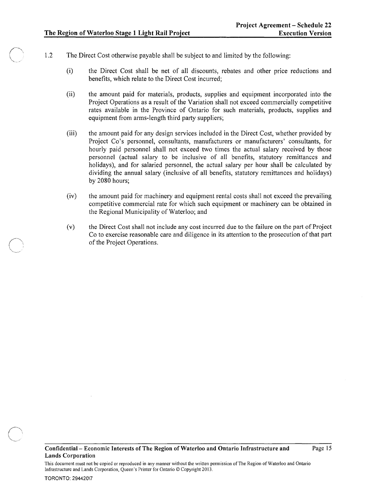- 1.2 The Direct Cost otherwise payable shall be subject to and limited by the following:
	- (i) the Direct Cost shall be net of all discounts, rebates and other price reductions and benefits, which relate to the Direct Cost incurred;
	- (ii) the amount paid for materials, products, supplies and equipment incorporated into the Project Operations as a result of the Variation shall not exceed commercially competitive rates available in the Province of Ontario for such materials, products, supplies and equipment from arms-length third party suppliers;
	- (iii) the amount paid for any design services included in the Direct Cost, whether provided by Project Co's personnel, consultants, manufacturers or manufacturers' consultants, for hourly paid personnel shall not exceed two times the actual salary received by those personnel (actual salary to be inclusive of all benefits, statutory remittances and holidays), and for salaried personnel, the actual salary per hour shall be calculated by dividing the annual salary (inclusive of all benefits, statutory remittances and holidays) by 2080 hours;
	- (iv) the amount paid for machinery and equipment rental costs shall not exceed the prevailing competitive commercial rate for which such equipment or machinery can be obtained in the Regional Municipality of Waterloo; and
	- (v) the Direct Cost shall not include any cost incurred due to the failure on the part of Project Co to exercise reasonable care and diligence in its attention to the prosecution of that part of the Project Operations.